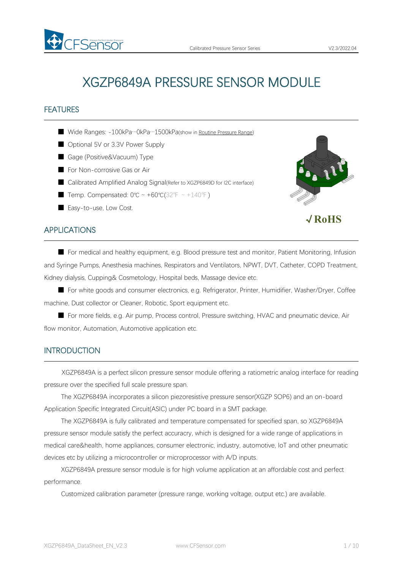

## FEATURES

- Wide Ranges: -100kPa…0kPa…1500kPa(show in Routine [Pressure](#page-4-0) Range)
- Optional 5V or 3.3V Power Supply
- Gage (Positive&Vacuum) Type
- For Non-corrosive Gas or Air

FSAMSOr

- Calibrated Amplified Analog Signal(Refer to XGZP6849D for I2C interface)
- Temp. Compensated: 0℃ ~ +60℃(32°F ~ +140°F)
- Easy-to-use, Low Cost.



## APPLICATIONS

■ For medical and healthy equipment, e.g. Blood pressure test and monitor, Patient Monitoring, Infusion and Syringe Pumps, Anesthesia machines, Respirators and Ventilators, NPWT, DVT, Catheter, COPD Treatment, Kidney dialysis, Cupping& Cosmetology, Hospital beds, Massage device etc.

■ For white goods and consumer electronics, e.g. Refrigerator, Printer, Humidifier, Washer/Dryer, Coffee machine, Dust collector or Cleaner, Robotic, Sport equipment etc.

■ For more fields, e.g. Air pump, Process control, Pressure switching, HVAC and pneumatic device, Air flow monitor, Automation, Automotive application etc.

## **INTRODUCTION**

XGZP6849A is a perfect silicon pressure sensor module offering a ratiometric analog interface for reading pressure over the specified full scale pressure span.

The XGZP6849A incorporates a silicon piezoresistive pressure sensor(XGZP SOP6) and an on-board Application Specific Integrated Circuit(ASIC) under PC board in a SMT package.

The XGZP6849A is fully calibrated and temperature compensated for specified span, so XGZP6849A pressure sensor module satisfy the perfect accuracry, which is designed for a wide range of applications in medical care&health, home appliances, consumer electronic, industry, automotive, loT and other pneumatic devices etc by utilizing a microcontroller or microprocessor with A/D inputs.

XGZP6849A pressure sensor module is for high volume application at an affordable cost and perfect performance.

Customized calibration parameter (pressure range, working voltage, output etc.) are available.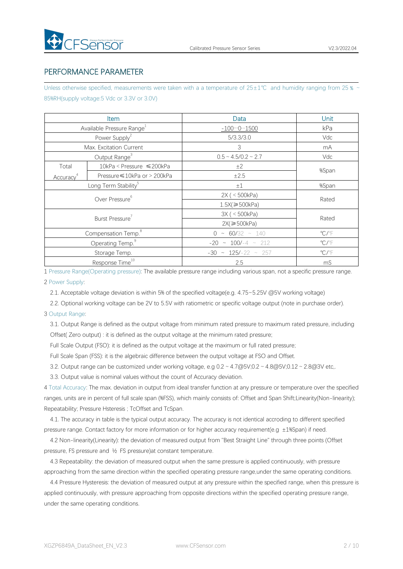# PERFORMANCE PARAMETER

Unless otherwise specified, measurements were taken with a a temperature of  $25±1°C$  and humidity ranging from 25  $\%$  ~ 85%RH(supply voltage:5 Vdc or 3.3V or 3.0V)

|                       | <b>Item</b>                           | Data                        | Unit                    |
|-----------------------|---------------------------------------|-----------------------------|-------------------------|
|                       | Available Pressure Range <sup>1</sup> | $-10001500$                 | kPa                     |
|                       | Power Supply <sup>2</sup>             | 5/3.3/3.0                   | Vdc                     |
|                       | Max. Excitation Current               | $\mathcal{S}$               | mA                      |
|                       | Output Range <sup>3</sup>             | $0.5 \sim 4.5/0.2 \sim 2.7$ | Vdc                     |
| Total                 | 10kPa < Pressure ≤200kPa              | ±2                          |                         |
| Accuracy <sup>4</sup> | Pressure ≤10kPa or > 200kPa           | ±2.5                        | %Span                   |
|                       | Long Term Stability <sup>5</sup>      | $\pm 1$                     | %Span                   |
|                       | Over Pressure <sup>6</sup>            | 2X ( < 500kPa)              |                         |
|                       |                                       | $1.5X$ $\geq 500kPa$        | Rated                   |
|                       | Burst Pressure <sup>7</sup>           | 3X ( < 500kPa)              | Rated                   |
|                       |                                       | $2X \geqslant 500kPa$       |                         |
|                       | Compensation Temp. <sup>8</sup>       | $0 \sim 60/32 \sim 140$     | $\mathrm{C}/\mathrm{F}$ |
|                       | Operating Temp. <sup>9</sup>          | $-20 \sim 100/-4 \sim 212$  | $\mathrm{C}/\mathrm{F}$ |
|                       | Storage Temp.                         | $-30 \sim 125/-22 \sim 257$ | $\mathrm{C}/\mathrm{F}$ |
|                       | Response Time <sup>10</sup>           | 2.5                         | mS                      |

1 Pressure Range(Operating pressure): The available pressure range including variousspan, not a specific pressure range.

### 2 Power Supply:

2.1. Acceptable voltage deviation is within 5% of the specified voltage(e.g. 4.75~5.25V @5V working voltage)

2.2. Optional working voltage can be 2V to 5.5V with ratiometric or specific voltage output (note in purchase order).

### 3 Output Range:

3.1. Output Range is defined as the output voltage from minimum rated pressure to maximum rated pressure, including Offset( Zero output) : it is defined as the output voltage at the minimum rated pressure;

Full Scale Output (FSO): it is defined as the output voltage at the maximum or full rated pressure;

Full Scale Span (FSS): it is the algebraic difference between the output voltage at FSO and Offset.

3.2. Output range can be customized under working voltage, e.g  $0.2 \sim 4.7 \omega$  5V;0.2 ~  $4.8 \omega$  5V;0.12 ~ 2.8 $\omega$ 3V etc,.

3.3. Output value is nominal values without the count of Accuracy deviation.

4 Total Accuracy: The max. deviation in output from ideal transfer function at any pressure or temperature over the specified ranges, units are in percent of full scale span (%FSS), which mainly consists of: Offset and Span Shift;Linearity(Non-linearity); Repeatability; Pressure Hsteresis ; TcOffset and TcSpan.

4.1. The accuracy in table is the typical output accuracy. The accuracy is notidentical accroding to different specified pressure range. Contact factory for more information or for higher accuracy requirement(e.g ±1%Span) if need.

4.2 Non-linearity(Linearity): the deviation of measured output from "Best Straight Line" through three points (Offset pressure, FS pressure and ½ FS pressure)at constant temperature.

4.3 Repeatability: the deviation of measured output when the same pressure is applied continuously, with pressure approaching from the same direction within the specified operating pressure range,under the same operating conditions.

4.4 Pressure Hysteresis: the deviation of measured output at any pressure within the specified range, when this pressure is applied continuously, with pressure approaching from opposite directions within the specified operating pressure range, under the same operating conditions.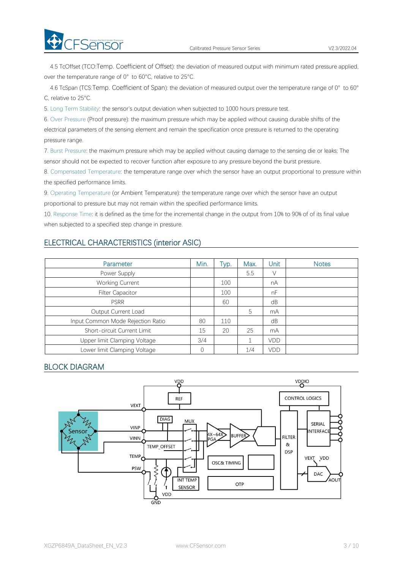**CFSensor** 

4.5 TcOffset (TCO:Temp. Coefficient of Offset): the deviation of measured output with minimum rated pressure applied, over the temperature range of 0° to 60°C, relative to 25°C.

4.6 TcSpan (TCS:Temp. Coefficient of Span): the deviation of measured output over the temperature range of 0° to 60° C, relative to 25°C.

5. Long Term Stability: the sensor's output deviation when subjected to 1000 hours pressure test.

6. Over Pressure (Proof pressure): the maximum pressure which may be applied without causing durable shifts of the electrical parameters of the sensing element and remain the specification once pressure is returned to the operating pressure range.

7. Burst Pressure: the maximum pressure which may be applied without causing damage to the sensing die or leaks; The sensor should not be expected to recover function after exposure to any pressure beyond the burst pressure.

8. Compensated Temperature: the temperature range over which the sensor have an output proportional to pressure within the specified performance limits.

9. Operating Temperature (or Ambient Temperature): the temperature range over which the sensor have an output proportional to pressure but may not remain within the specified performance limits.

10. Response Time: it is defined as the time for the incremental change in the output from 10% to 90% of of its final value when subjected to a specified step change in pressure.

## ELECTRICAL CHARACTERISTICS (interior ASIC)

| <b>Parameter</b>                  | Min.     | Typ. | Max. | Unit | <b>Notes</b> |
|-----------------------------------|----------|------|------|------|--------------|
| Power Supply                      |          |      | 5.5  | V    |              |
| <b>Working Current</b>            |          | 100  |      | nA   |              |
| <b>Filter Capacitor</b>           |          | 100  |      | nF   |              |
| <b>PSRR</b>                       |          | 60   |      | dB   |              |
| Output Current Load               |          |      | 5    | mA   |              |
| Input Common Mode Rejection Ratio | 80       | 110  |      | dB   |              |
| Short-circuit Current Limit       | 15       | 20   | 25   | mA   |              |
| Upper limit Clamping Voltage      | 3/4      |      |      | VDD  |              |
| Lower limit Clamping Voltage      | $\Omega$ |      | 1/4  | VDD  |              |

## BLOCK DIAGRAM

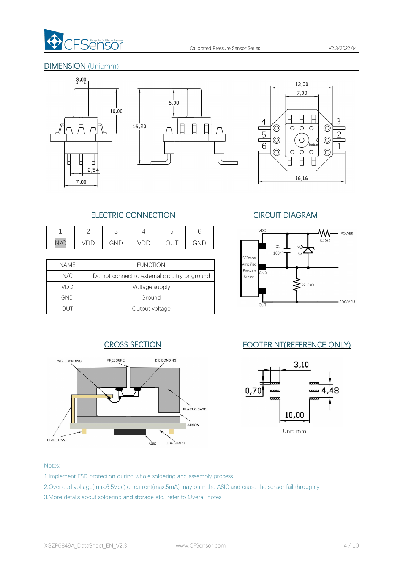

## DIMENSION (Unit:mm)









# CROSS SECTION FOOTPRINT(REFERENCE ONLY)



# ELECTRIC CONNECTION CIRCUIT DIAGRAM

| ∸                 | _                             |     |          |                |                       |
|-------------------|-------------------------------|-----|----------|----------------|-----------------------|
| $\sqrt{2}$<br>V/U | ╺<br>$\overline{\phantom{0}}$ | GND | 11<br>レレ | $\smile\smile$ | $\overline{ }$<br>`NL |

|             |                                                | ∎∪rəensor          |     |
|-------------|------------------------------------------------|--------------------|-----|
| <b>NAME</b> | <b>FUNCTION</b>                                | Amplified          |     |
| N/C         | Do not connect to external circuitry or ground | Pressure<br>Sensor | GND |
| VDD         | Voltage supply                                 |                    |     |
| GND         | Ground                                         |                    |     |
|             | Output voltage                                 |                    | OUT |



### Notes:

- 1.Implement ESD protection during whole soldering and assembly process.
- 2.Overload voltage(max.6.5Vdc) or current(max.5mA) may burn the ASIC and cause the sensor fail throughly.
- 3.More detalis about soldering and storage etc., refer to [Overall](#page-7-0) notes.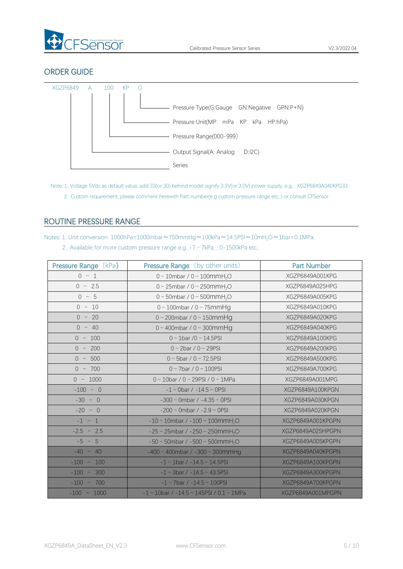

# ORDER GUIDE



- Note: 1. Voltage 5Vdc as default value, add 33(or 30) behind model signify 3.3V(or 3.0V) power supply, e.g. : XGZP6849A040KPG33.
	- 2. Custom requirement, please comment herewith Part number(e.g custom pressure range etc,.) or consult CFSensor

# <span id="page-4-0"></span>ROUTINE PRESSURE RANGE

Notes: 1. Unit conversion: 1000hPa=1000mbar≈750mmHg≈100kPa≈14.5PSI≈10mH2O≈1bar=0.1MPa;

2. Available for more custom pressure range e.g.  $-7 \sim 7kPa$ , , 0-1500kPa etc,.

| <b>Pressure Range (kPa)</b> | <b>Pressure Range</b> (by other units)                  | <b>Part Number</b> |
|-----------------------------|---------------------------------------------------------|--------------------|
| $0 \sim 1$                  | $0 \sim 10$ mbar / $0 \sim 100$ mmH <sub>2</sub> O      | XGZP6849A001KPG    |
| $0 \sim 2.5$                | 0 ~ 25mbar / 0 ~ 250mmH <sub>2</sub> O                  | XGZP6849A025HPG    |
| $0 \sim 5$                  | 0 ~ 50mbar / 0 ~ 500mmH <sub>2</sub> O                  | XGZP6849A005KPG    |
| $0 \sim 10$                 | $0 \sim 100$ mbar / $0 \sim 75$ mmHg                    | XGZP6849A010KPG    |
| $0 \sim 20$                 | $0 \sim 200$ mbar / $0 \sim 150$ mmHg                   | XGZP6849A020KPG    |
| $0 \sim 40$                 | $0 \sim 400$ mbar / $0 \sim 300$ mmHg                   | XGZP6849A040KPG    |
| $0 \sim 100$                | $0 \sim 1$ bar /0 ~ 14.5PSI                             | XGZP6849A100KPG    |
| $0 \sim 200$                | $0 \sim 2$ bar / $0 \sim 29$ PSI                        | XGZP6849A200KPG    |
| $0 \sim 500$                | $0 \sim 5$ bar / $0 \sim 72.5$ PSI                      | XGZP6849A500KPG    |
| $0 \sim 700$                | $0 \sim 7$ bar / $0 \sim 100$ PSI                       | XGZP6849A700KPG    |
| $0 \sim 1000$               | $0 \sim 10$ bar / $0 \sim 29$ PSI / $0 \sim 1$ MPa      | XGZP6849A001MPG    |
| $-100 ~ \sim ~ 0$           | $-1 \sim 0$ bar / $-14.5 \sim 0$ PSI                    | XGZP6849A100KPGN   |
| $-30 \sim 0$                | $-300 \sim$ 0mbar / $-4.35 \sim$ 0PSI                   | XGZP6849A030KPGN   |
| $-20$ ~ 0                   | $-200 \sim$ 0mbar / $-2.9 \sim$ 0PSI                    | XGZP6849A020KPGN   |
| $-1 \sim 1$                 | $-10 \sim 10$ mbar / $-100 \sim 100$ mmH <sub>2</sub> O | XGZP6849A001KPGPN  |
| $-2.5$ ~ 2.5                | $-25 \sim 25$ mbar / $-250 \sim 250$ mmH <sub>2</sub> O | XGZP6849A025HPGPN  |
| $-5 \sim 5$                 | $-50 \sim 50$ mbar / $-500 \sim 500$ mmH <sub>2</sub> O | XGZP6849A005KPGPN  |
| $-40 \sim 40$               | $-400 \sim 400$ mbar / $-300 \sim 300$ mm Hg            | XGZP6849A040KPGPN  |
| $-100 \sim 100$             | $-1 \sim 1$ bar / $-14.5 \sim 14.5$ PSI                 | XGZP6849A100KPGPN  |
| $-100 \sim 300$             | $-1 \sim 3$ bar / $-14.5 \sim 43.5$ PSI                 | XGZP6849A300KPGPN  |
| $-100 \sim 700$             | $-1 \sim 7$ bar / $-14.5 \sim 100$ PSI                  | XGZP6849A700KPGPN  |
| $-100$ ~ 1000               | $-1$ ~ 10bar / $-14.5$ ~ 145PSI / 0.1 ~ 1MPa            | XGZP6849A001MPGPN  |
|                             |                                                         |                    |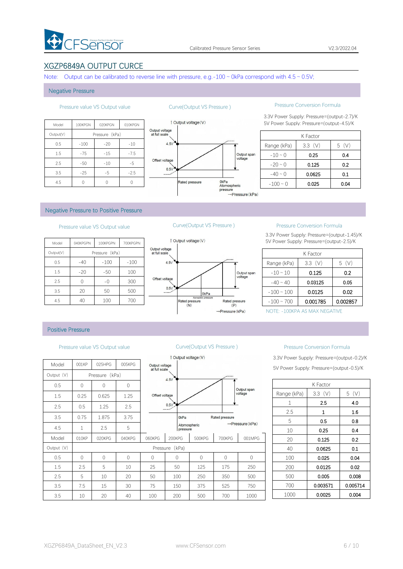

## XGZP6849A OUTPUT CURCE

Note: Output can be calibrated to reverse line with pressure, e.g.-100  $\sim$  0kPa correspond with 4.5  $\sim$  0.5V;

#### Negative Pressure

| <b>Ou</b>                       | 010KPGN | 020KPGN        | 100KPGN | Model     |
|---------------------------------|---------|----------------|---------|-----------|
| Output voltage<br>at full scale |         | Pressure (kPa) |         | Output(V) |
| 4.5V                            | $-10$   | $-20$          | $-100$  | 0.5       |
|                                 | $-7.5$  | $-15$          | $-75$   | 1.5       |
| Offset voltage                  | $-5$    | $-10$          | $-50$   | 2.5       |
| 0.51<br>                        | $-2.5$  | $-5$           | $-25$   | 3.5       |
|                                 |         |                |         | 4.5       |



### Pressure value VS Output value Curve(Output VS Pressure ) Pressure Conversion Formula

3.3V Power Supply: Pressure=(output-2.7)/K 1 Output voltage (V) 5V Power Supply: Pressure=(output-4.5)/K

|               | K Factor  |           |
|---------------|-----------|-----------|
| Range (kPa)   | $3.3$ (V) | (V)<br>5. |
| $-10 - 0$     | 0.25      | 0.4       |
| $-20 \sim 0$  | 0.125     | 0.2       |
| $-40 \sim 0$  | 0.0625    | 0.1       |
| $-100 \sim 0$ | 0.025     | 0.04      |

#### Negative Pressure to Positive Pressure

| 1 Output vo                     | 700KPGPN | 100KPGPN       | 040KPGPN | Model     |
|---------------------------------|----------|----------------|----------|-----------|
| Output voltage<br>at full scale |          | Pressure (kPa) |          | Output(V) |
| 4.5V                            | $-100$   | $-100$         | $-40$    | 0.5       |
|                                 | 100      | $-50$          | $-20$    | 1.5       |
| Offset voltage                  | 300      | $-0$           |          | 2.5       |
| 0.5V                            | 500      | 50             | 20       | 3.5       |
| <b>Rated</b> pr                 | 700      | 100            | 40       | 4.5       |



### Pressure value VS Output value Curve(Output VS Pressure ) Pressure Conversion Formula

3.3V Power Supply: Pressure=(output-1.45)/K 5V Power Supply: Pressure=(output-2.5)/K

|                 | K Factor  |          |
|-----------------|-----------|----------|
| Range (kPa)     | $3.3$ (V) | (V)<br>5 |
| $-10 \sim 10$   | 0.125     | 0.2      |
| $-40 \sim 40$   | 0.03125   | 0.05     |
| $-100 \sim 100$ | 0.0125    | 0.02     |
| $-100 \sim 700$ | 0.001785  | 0.002857 |

NOTE: -100KPA AS MAX NEGATIVE

### Positive Pressure

#### Pressure value VS Output value Curve(Output VS Pressure ) Pressure Conversion Formula

|            |          |                |          |                                 | $\overline{\phantom{a}}$ Uurput voltage $\overline{\phantom{a}}$ |              |                |                              | 3.3V POWER SUL |
|------------|----------|----------------|----------|---------------------------------|------------------------------------------------------------------|--------------|----------------|------------------------------|----------------|
| Model      | 001KP    | 025HPG         | 005KPG   | Output voltage<br>at full scale |                                                                  |              |                |                              | 5V Power Supp  |
| Output (V) |          | Pressure (kPa) |          |                                 | 4.5V                                                             |              |                |                              |                |
| 0.5        | $\Omega$ | $\Omega$       | $\Omega$ |                                 |                                                                  |              |                | Output span                  |                |
| 1.5        | 0.25     | 0.625          | 1.25     | Offset voltage                  |                                                                  |              |                | voltage                      | Range (kPa)    |
| 2.5        | 0.5      | 1.25           | 2.5      |                                 | 0.5V                                                             |              |                |                              | 1              |
|            |          |                |          |                                 |                                                                  |              |                |                              | 2.5            |
| 3.5        | 0.75     | 1.875          | 3.75     |                                 | 0 <sub>kPa</sub>                                                 |              | Rated pressure |                              | 5              |
| 4.5        | 1        | 2.5            | 5        |                                 | pressure                                                         | Atomospheric |                | $\rightarrow$ Pressure (kPa) | 10             |
| Model      | 010KP    | 020KPG         | 040KPG   | 060KPG                          | 200KPG                                                           | 500KPG       | 700KPG         | 001MPG                       | 20             |
| Output (V) |          |                |          |                                 | Pressure (kPa)                                                   |              |                |                              | 40             |
| 0.5        | $\Omega$ | $\Omega$       | $\Omega$ | $\bigcap$                       | $\bigcap$                                                        | $\bigcap$    | $\Omega$       | $\Omega$                     | 100            |
| 1.5        | 2.5      | 5              | 10       | 25                              | 50                                                               | 125          | 175            | 250                          | 200            |
| 2.5        | 5        | 10             | 20       | 50                              | 100                                                              | 250          | 350            | 500                          | 500            |
| 3.5        | 7.5      | 15             | 30       | 75                              | 150                                                              | 375          | 525            | 750                          | 700            |
| 3.5        | 10       | 20             | 40       | 100                             | 200                                                              | 500          | 700            | 1000                         | 1000           |



## 3.3V Power Supply: Pressure=(output-0.2)/K

5V Power Supply: Pressure=(output-0.5)/K

|             | K Factor     |          |
|-------------|--------------|----------|
| Range (kPa) | $3.3$ (V)    | 5(V)     |
| 1           | 2.5          | 4.0      |
| 2.5         | $\mathbf{1}$ | 1.6      |
| 5           | 0.5          | 0.8      |
| 10          | 0.25         | 0.4      |
| 20          | 0.125        | 0.2      |
| 40          | 0.0625       | 0.1      |
| 100         | 0.025        | 0.04     |
| 200         | 0.0125       | 0.02     |
| 500         | 0.005        | 0.008    |
| 700         | 0.003571     | 0.005714 |
| 1000        | 0.0025       | 0.004    |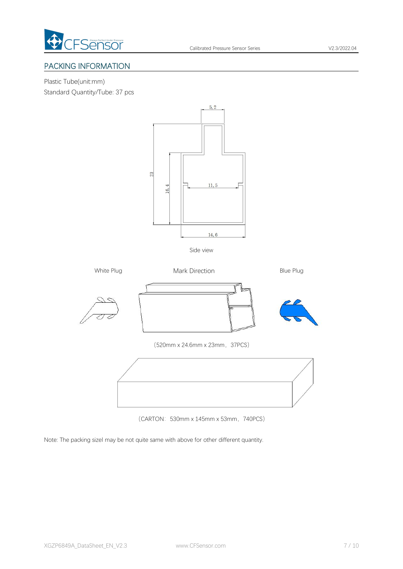

# PACKING INFORMATION

Plastic Tube(unit:mm) Standard Quantity/Tube: 37 pcs



Side view



(CARTON: 530mm x 145mm x 53mm, 740PCS)

Note: The packing sizel may be not quite same with above for other different quantity.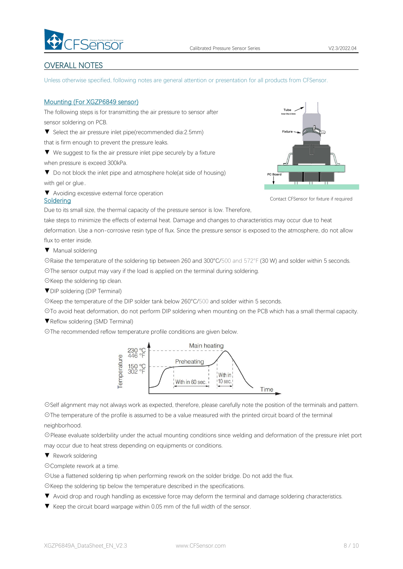

# <span id="page-7-0"></span>OVERALL NOTES

Unless otherwise specified, following notes are general attention or presentation for all products from CFSensor.

### Mounting (For XGZP6849 sensor)

The following steps is for transmitting the air pressure to sensor after sensor soldering on PCB.

▼ Select the air pressure inlet pipe(recommended dia:2.5mm)

that is firm enough to prevent the pressure leaks.

▼ We suggest to fix the air pressure inlet pipe securely by a fixture when pressure is exceed 300kPa.

▼ Do not block the inlet pipe and atmosphere hole(at side of housing) with gel or glue..

▼ Avoiding excessive external force operation



Contact CFSensor for fixture if required

Due to its small size, the thermal capacity of the pressure sensor is low. Therefore,

take steps to minimize the effects of external heat. Damage and changes to characteristics may occur due to heat deformation. Use a non-corrosive resin type of flux. Since the pressure sensor is exposed to the atmosphere, do not allow flux to enter inside.

▼ Manual soldering

**Soldering** 

☉Raise the temperature of the soldering tip between 260 and 300°C/500 and 572°F (30 W) and solder within 5 seconds. ☉The sensor output may vary if the load is applied on the terminal during soldering.

☉Keep the soldering tip clean.

▼DIP soldering (DIP Terminal)

☉Keep the temperature of the DIP solder tank below 260°C/500 and solder within 5 seconds.

☉To avoid heat deformation, do not perform DIP soldering when mounting on the PCB which has a small thermal capacity.

▼Reflow soldering (SMD Terminal)

☉The recommended reflow temperature profile conditions are given below.



☉Self alignment may not always work as expected, therefore, please carefully note the position of the terminals and pattern. ☉The temperature of the profile is assumed to be a value measured with the printed circuit board of the terminal

neighborhood.

☉Please evaluate solderbility under the actual mounting conditions since welding and deformation of the pressure inlet port may occur due to heat stress depending on equipments or conditions.

▼ Rework soldering

☉Complete rework at a time.

☉Use a flattened soldering tip when performing rework on the solder bridge. Do not add the flux.

☉Keep the soldering tip below the temperature described in the specifications.

- ▼ Avoid drop and rough handling as excessive force may deform the terminal and damage soldering characteristics.
- ▼ Keep the circuit board warpage within 0.05 mm of the full width of the sensor.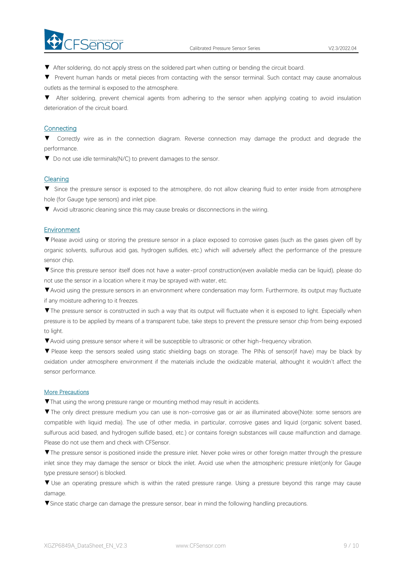

▼ After soldering, do not apply stress on the soldered part when cutting or bending the circuit board.

▼ Prevent human hands or metal pieces from contacting with the sensor terminal. Such contact may cause anomalous outlets as the terminal is exposed to the atmosphere.

▼ After soldering, prevent chemical agents from adhering to the sensor when applying coating to avoid insulation deterioration of the circuit board.

### **Connecting**

▼ Correctly wire as in the connection diagram. Reverse connection may damage the productand degrade the performance.

▼ Do not use idle terminals(N/C) to prevent damages to the sensor.

#### Cleaning

▼ Since the pressure sensor is exposed to the atmosphere, do not allow cleaning fluid to enter inside from atmosphere hole (for Gauge type sensors) and inlet pipe.

▼ Avoid ultrasonic cleaning since this may cause breaks or disconnections in the wiring.

#### **Environment**

▼Please avoid using or storing the pressure sensor in a place exposed to corrosive gases (such as the gases given off by organic solvents, sulfurous acid gas, hydrogen sulfides, etc.) which will adversely affect the performance of the pressure sensor chip.

▼Since this pressure sensor itself does not have a water-proof construction(even available media can be liquid), please do not use the sensor in alocation where it may be sprayed with water, etc.

▼Avoid using the pressure sensors in an environment where condensation may form. Furthermore, its output may fluctuate if any moisture adhering to it freezes.

▼The pressure sensor is constructed in such a way that its output will fluctuate when it is exposed to light. Especially when pressure is to be applied by means of a transparent tube, take steps to prevent the pressure sensor chip from being exposed to light.

▼Avoid using pressure sensor where it will be susceptible to ultrasonic or other high-frequency vibration.

▼ Please keep the sensors sealed using static shielding bags on storage. The PINs of sensor(if have) may be black by oxidation under atmosphere environment if the materials include the oxidizable material, althought it wouldn't affect the sensor performance.

#### More Precautions

▼That using the wrong pressure range or mounting method mayresult in accidents.

▼The only direct pressure medium you can use is non-corrosive gas or air as illuminated above(Note: some sensors are compatible with liquid media). The use of other media, in particular, corrosive gases and liquid (organic solvent based, sulfurous acid based, and hydrogen sulfide based, etc.) or contains foreign substances will cause malfunction and damage.<br>Please do not use them and check with CFSensor.

▼The pressure sensor is positioned inside the pressure inlet. Never poke wires orother foreign matter through the pressure inlet since they may damage the sensor or block the inlet. Avoid use when the atmospheric pressure inlet(only for Gauge type pressure sensor) is blocked.

▼ Use an operating pressure which is within the rated pressure range. Using a pressure beyond this range may cause damage.

▼Since static charge can damage the pressure sensor, bear in mind the following handling precautions.